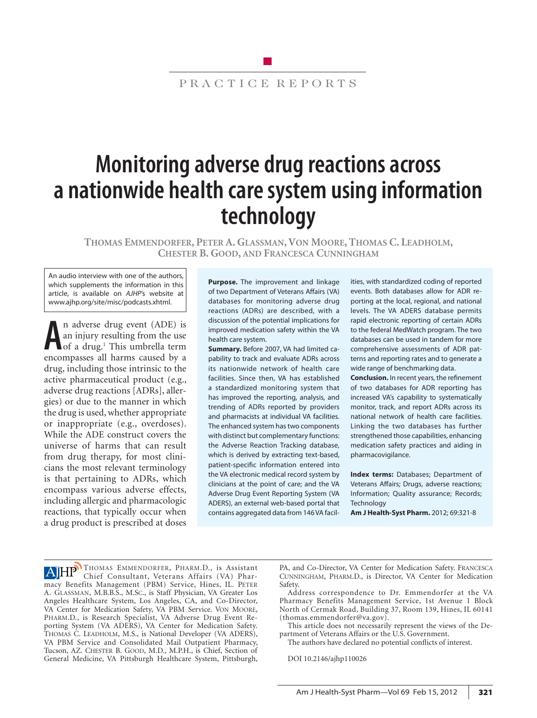# PRACTICE REPORTS

# **Monitoring adverse drug reactions across a nationwide health care system using information technology**

**Thomas Emmendorfer, Peter A. Glassman, Von Moore, Thomas C. Leadholm, Chester B. Good, and Francesca Cunningham**

An audio interview with one of the authors, which supplements the information in this article, is available on *AJHP*'s website at www.ajhp.org/site/misc/podcasts.xhtml.

**A** encompasses all harms caused by a n adverse drug event (ADE) is an injury resulting from the use of a drug.<sup>1</sup> This umbrella term drug, including those intrinsic to the active pharmaceutical product (e.g., adverse drug reactions [ADRs], allergies) or due to the manner in which the drug is used, whether appropriate or inappropriate (e.g., overdoses). While the ADE construct covers the universe of harms that can result from drug therapy, for most clinicians the most relevant terminology is that pertaining to ADRs, which encompass various adverse effects, including allergic and pharmacologic reactions, that typically occur when a drug product is prescribed at doses

**Purpose.** The improvement and linkage of two Department of Veterans Affairs (VA) databases for monitoring adverse drug reactions (ADRs) are described, with a discussion of the potential implications for improved medication safety within the VA health care system.

**Summary.** Before 2007, VA had limited capability to track and evaluate ADRs across its nationwide network of health care facilities. Since then, VA has established a standardized monitoring system that has improved the reporting, analysis, and trending of ADRs reported by providers and pharmacists at individual VA facilities. The enhanced system has two components with distinct but complementary functions: the Adverse Reaction Tracking database, which is derived by extracting text-based, patient-specific information entered into the VA electronic medical record system by clinicians at the point of care; and the VA Adverse Drug Event Reporting System (VA ADERS), an external web-based portal that contains aggregated data from 146 VA facilities, with standardized coding of reported events. Both databases allow for ADR reporting at the local, regional, and national levels. The VA ADERS database permits rapid electronic reporting of certain ADRs to the federal MedWatch program. The two databases can be used in tandem for more comprehensive assessments of ADR patterns and reporting rates and to generate a wide range of benchmarking data.

**Conclusion.** In recent years, the refinement of two databases for ADR reporting has increased VA's capability to systematically monitor, track, and report ADRs across its national network of health care facilities. Linking the two databases has further strengthened those capabilities, enhancing medication safety practices and aiding in pharmacovigilance.

**Index terms:** Databases; Department of Veterans Affairs; Drugs, adverse reactions; Information; Quality assurance; Records; **Technology** 

**Am J Health-Syst Pharm.** 2012; 69:321-8

AHP<sup>I</sup>THOMAS EMMENDORFER, PHARM.D., is Assistant Chief Consultant, Veterans Affairs (VA) Pharmacy Benefits Management (PBM) Service, Hines, IL. PETER A. Glassman, M.B.B.S., M.Sc., is Staff Physician, VA Greater Los Angeles Healthcare System, Los Angeles, CA, and Co-Director, VA Center for Medication Safety, VA PBM Service. Von Moore, Pharm.D., is Research Specialist, VA Adverse Drug Event Reporting System (VA ADERS), VA Center for Medication Safety. Thomas C. Leadholm, M.S., is National Developer (VA ADERS), VA PBM Service and Consolidated Mail Outpatient Pharmacy, Tucson, AZ. CHESTER B. GOOD, M.D., M.P.H., is Chief, Section of General Medicine, VA Pittsburgh Healthcare System, Pittsburgh,

PA, and Co-Director, VA Center for Medication Safety. Francesca Cunningham, Pharm.D., is Director, VA Center for Medication Safety.

Address correspondence to Dr. Emmendorfer at the VA Pharmacy Benefits Management Service, 1st Avenue 1 Block North of Cermak Road, Building 37, Room 139, Hines, IL 60141 (thomas.emmendorfer@va.gov).

This article does not necessarily represent the views of the Department of Veterans Affairs or the U.S. Government.

The authors have declared no potential conflicts of interest.

DOI 10.2146/ajhp110026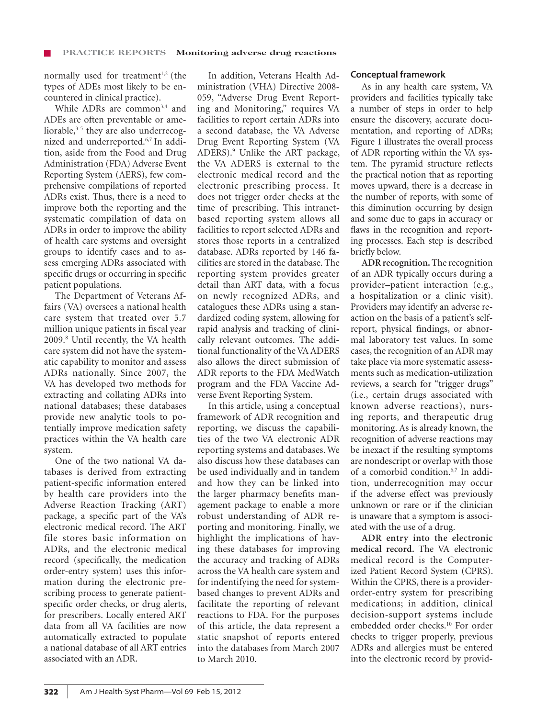normally used for treatment $1,2$  (the types of ADEs most likely to be encountered in clinical practice).

While ADRs are common<sup>3,4</sup> and ADEs are often preventable or ameliorable,<sup>3-5</sup> they are also underrecognized and underreported.6,7 In addition, aside from the Food and Drug Administration (FDA) Adverse Event Reporting System (AERS), few comprehensive compilations of reported ADRs exist. Thus, there is a need to improve both the reporting and the systematic compilation of data on ADRs in order to improve the ability of health care systems and oversight groups to identify cases and to assess emerging ADRs associated with specific drugs or occurring in specific patient populations.

The Department of Veterans Affairs (VA) oversees a national health care system that treated over 5.7 million unique patients in fiscal year 2009.8 Until recently, the VA health care system did not have the systematic capability to monitor and assess ADRs nationally. Since 2007, the VA has developed two methods for extracting and collating ADRs into national databases; these databases provide new analytic tools to potentially improve medication safety practices within the VA health care system.

One of the two national VA databases is derived from extracting patient-specific information entered by health care providers into the Adverse Reaction Tracking (ART) package, a specific part of the VA's electronic medical record. The ART file stores basic information on ADRs, and the electronic medical record (specifically, the medication order-entry system) uses this information during the electronic prescribing process to generate patientspecific order checks, or drug alerts, for prescribers. Locally entered ART data from all VA facilities are now automatically extracted to populate a national database of all ART entries associated with an ADR.

In addition, Veterans Health Administration (VHA) Directive 2008- 059, "Adverse Drug Event Reporting and Monitoring," requires VA facilities to report certain ADRs into a second database, the VA Adverse Drug Event Reporting System (VA ADERS).9 Unlike the ART package, the VA ADERS is external to the electronic medical record and the electronic prescribing process. It does not trigger order checks at the time of prescribing. This intranetbased reporting system allows all facilities to report selected ADRs and stores those reports in a centralized database. ADRs reported by 146 facilities are stored in the database. The reporting system provides greater detail than ART data, with a focus on newly recognized ADRs, and catalogues these ADRs using a standardized coding system, allowing for rapid analysis and tracking of clinically relevant outcomes. The additional functionality of the VA ADERS also allows the direct submission of ADR reports to the FDA MedWatch program and the FDA Vaccine Adverse Event Reporting System.

In this article, using a conceptual framework of ADR recognition and reporting, we discuss the capabilities of the two VA electronic ADR reporting systems and databases. We also discuss how these databases can be used individually and in tandem and how they can be linked into the larger pharmacy benefits management package to enable a more robust understanding of ADR reporting and monitoring. Finally, we highlight the implications of having these databases for improving the accuracy and tracking of ADRs across the VA health care system and for indentifying the need for systembased changes to prevent ADRs and facilitate the reporting of relevant reactions to FDA. For the purposes of this article, the data represent a static snapshot of reports entered into the databases from March 2007 to March 2010.

# **Conceptual framework**

As in any health care system, VA providers and facilities typically take a number of steps in order to help ensure the discovery, accurate documentation, and reporting of ADRs; Figure 1 illustrates the overall process of ADR reporting within the VA system. The pyramid structure reflects the practical notion that as reporting moves upward, there is a decrease in the number of reports, with some of this diminution occurring by design and some due to gaps in accuracy or flaws in the recognition and reporting processes. Each step is described briefly below.

**ADR recognition.** The recognition of an ADR typically occurs during a provider–patient interaction (e.g., a hospitalization or a clinic visit). Providers may identify an adverse reaction on the basis of a patient's selfreport, physical findings, or abnormal laboratory test values. In some cases, the recognition of an ADR may take place via more systematic assessments such as medication-utilization reviews, a search for "trigger drugs" (i.e., certain drugs associated with known adverse reactions), nursing reports, and therapeutic drug monitoring. As is already known, the recognition of adverse reactions may be inexact if the resulting symptoms are nondescript or overlap with those of a comorbid condition.6,7 In addition, underrecognition may occur if the adverse effect was previously unknown or rare or if the clinician is unaware that a symptom is associated with the use of a drug.

**ADR entry into the electronic medical record.** The VA electronic medical record is the Computerized Patient Record System (CPRS). Within the CPRS, there is a providerorder-entry system for prescribing medications; in addition, clinical decision-support systems include embedded order checks.<sup>10</sup> For order checks to trigger properly, previous ADRs and allergies must be entered into the electronic record by provid-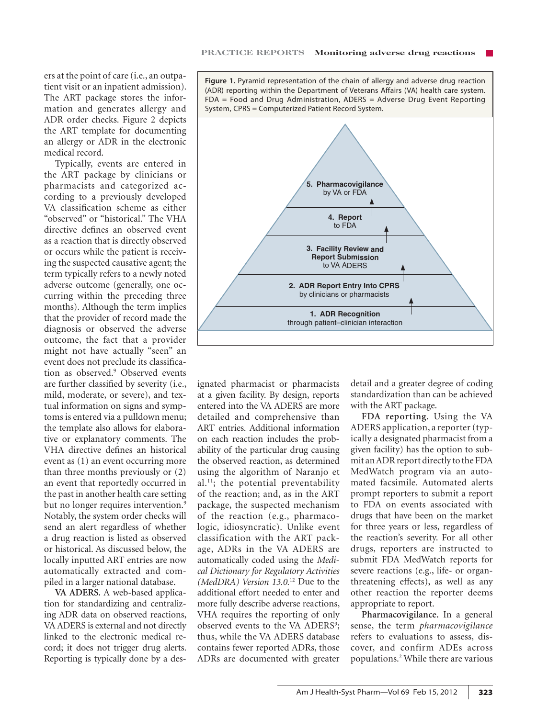ers at the point of care (i.e., an outpatient visit or an inpatient admission). The ART package stores the information and generates allergy and ADR order checks. Figure 2 depicts the ART template for documenting an allergy or ADR in the electronic medical record.

Typically, events are entered in the ART package by clinicians or pharmacists and categorized according to a previously developed VA classification scheme as either "observed" or "historical." The VHA directive defines an observed event as a reaction that is directly observed or occurs while the patient is receiving the suspected causative agent; the term typically refers to a newly noted adverse outcome (generally, one occurring within the preceding three months). Although the term implies that the provider of record made the diagnosis or observed the adverse outcome, the fact that a provider might not have actually "seen" an event does not preclude its classification as observed.9 Observed events are further classified by severity (i.e., mild, moderate, or severe), and textual information on signs and symptoms is entered via a pulldown menu; the template also allows for elaborative or explanatory comments. The VHA directive defines an historical event as (1) an event occurring more than three months previously or (2) an event that reportedly occurred in the past in another health care setting but no longer requires intervention.<sup>9</sup> Notably, the system order checks will send an alert regardless of whether a drug reaction is listed as observed or historical. As discussed below, the locally inputted ART entries are now automatically extracted and compiled in a larger national database.

**VA ADERS.** A web-based application for standardizing and centralizing ADR data on observed reactions, VA ADERS is external and not directly linked to the electronic medical record; it does not trigger drug alerts. Reporting is typically done by a des-

**Figure 1.** Pyramid representation of the chain of allergy and adverse drug reaction (ADR) reporting within the Department of Veterans Affairs (VA) health care system. FDA = Food and Drug Administration, ADERS = Adverse Drug Event Reporting System, CPRS = Computerized Patient Record System.



ignated pharmacist or pharmacists at a given facility. By design, reports entered into the VA ADERS are more detailed and comprehensive than ART entries. Additional information on each reaction includes the probability of the particular drug causing the observed reaction, as determined using the algorithm of Naranjo et al.<sup>11</sup>; the potential preventability of the reaction; and, as in the ART package, the suspected mechanism of the reaction (e.g., pharmacologic, idiosyncratic). Unlike event classification with the ART package, ADRs in the VA ADERS are automatically coded using the *Medical Dictionary for Regulatory Activities (MedDRA) Version 13.0.*12 Due to the additional effort needed to enter and more fully describe adverse reactions, VHA requires the reporting of only observed events to the VA ADERS<sup>9</sup>; thus, while the VA ADERS database contains fewer reported ADRs, those ADRs are documented with greater

detail and a greater degree of coding standardization than can be achieved with the ART package.

**FDA reporting.** Using the VA ADERS application, a reporter (typically a designated pharmacist from a given facility) has the option to submit an ADR report directly to the FDA MedWatch program via an automated facsimile. Automated alerts prompt reporters to submit a report to FDA on events associated with drugs that have been on the market for three years or less, regardless of the reaction's severity. For all other drugs, reporters are instructed to submit FDA MedWatch reports for severe reactions (e.g., life- or organthreatening effects), as well as any other reaction the reporter deems appropriate to report.

**Pharmacovigilance.** In a general sense, the term *pharmacovigilance* refers to evaluations to assess, discover, and confirm ADEs across populations.2 While there are various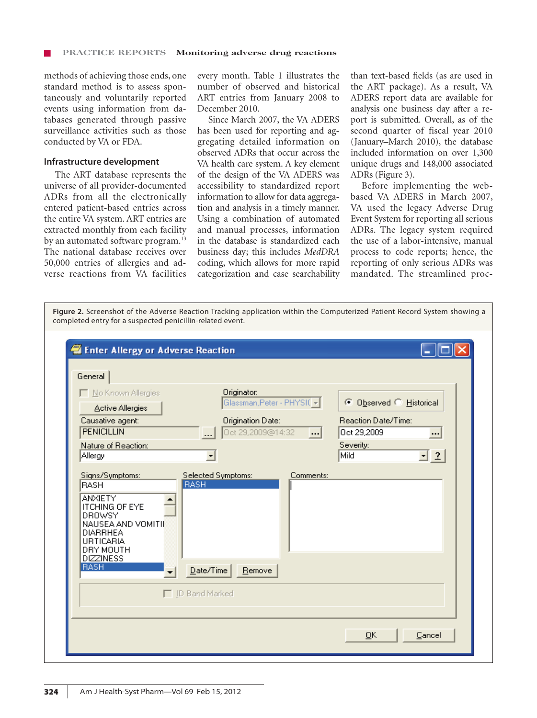methods of achieving those ends, one standard method is to assess spontaneously and voluntarily reported events using information from databases generated through passive surveillance activities such as those conducted by VA or FDA.

#### **Infrastructure development**

The ART database represents the universe of all provider-documented ADRs from all the electronically entered patient-based entries across the entire VA system. ART entries are extracted monthly from each facility by an automated software program.<sup>13</sup> The national database receives over 50,000 entries of allergies and adverse reactions from VA facilities

every month. Table 1 illustrates the number of observed and historical ART entries from January 2008 to December 2010.

Since March 2007, the VA ADERS has been used for reporting and aggregating detailed information on observed ADRs that occur across the VA health care system. A key element of the design of the VA ADERS was accessibility to standardized report information to allow for data aggregation and analysis in a timely manner. Using a combination of automated and manual processes, information in the database is standardized each business day; this includes *MedDRA* coding, which allows for more rapid categorization and case searchability

than text-based fields (as are used in the ART package). As a result, VA ADERS report data are available for analysis one business day after a report is submitted. Overall, as of the second quarter of fiscal year 2010 (January–March 2010), the database included information on over 1,300 unique drugs and 148,000 associated ADRs (Figure 3).

Before implementing the webbased VA ADERS in March 2007, VA used the legacy Adverse Drug Event System for reporting all serious ADRs. The legacy system required the use of a labor-intensive, manual process to code reports; hence, the reporting of only serious ADRs was mandated. The streamlined proc-

**Figure 2.** Screenshot of the Adverse Reaction Tracking application within the Computerized Patient Record System showing a completed entry for a suspected penicillin-related event.

| General<br>No Known Allergies<br><b>Active Allergies</b><br>Causative agent:<br><b>PENICILLIN</b><br>Nature of Reaction:<br>Allergy<br>Signs/Symptoms:<br><b>RASH</b><br><b>ANXIETY</b><br><b>ITCHING OF EYE</b><br><b>DROWSY</b><br>NAUSEA AND VOMITIE<br><b>DIARRHEA</b><br><b>URTICARIA</b><br>DRY MOUTH<br><b>DIZZINESS</b><br><b>RASH</b> | Originator:<br>Glassman, Peter - PHYSIC +<br>Origination Date:<br>Oct 29,2009@14:32<br>Selected Symptoms:<br><b>RASH</b><br>$\mathbf{\underline{D}}$ ate/Time<br>Remove | © Observed © Historical<br>Reaction Date/Time:<br>Oct 29,2009<br>$\left   \right $<br>$\cdot$<br>Severity:<br>Mild<br>$\mathbf{I}$ 2<br>Comments: |
|------------------------------------------------------------------------------------------------------------------------------------------------------------------------------------------------------------------------------------------------------------------------------------------------------------------------------------------------|-------------------------------------------------------------------------------------------------------------------------------------------------------------------------|---------------------------------------------------------------------------------------------------------------------------------------------------|
|                                                                                                                                                                                                                                                                                                                                                | □ ID Band Marked                                                                                                                                                        |                                                                                                                                                   |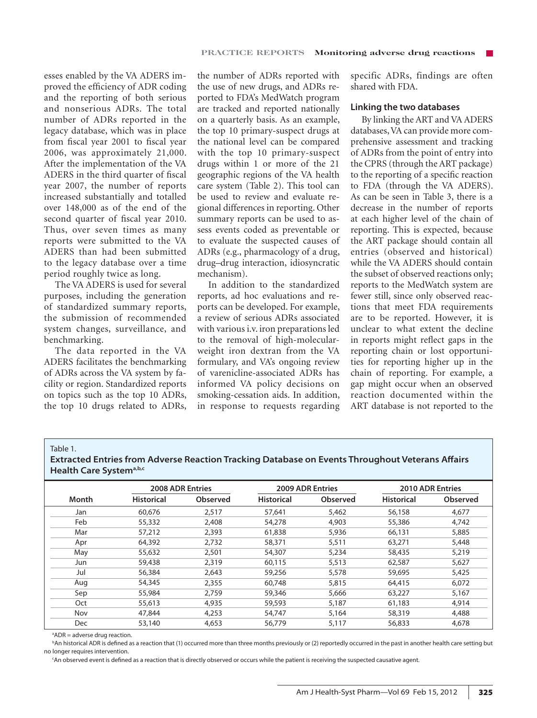esses enabled by the VA ADERS improved the efficiency of ADR coding and the reporting of both serious and nonserious ADRs. The total number of ADRs reported in the legacy database, which was in place from fiscal year 2001 to fiscal year 2006, was approximately 21,000. After the implementation of the VA ADERS in the third quarter of fiscal year 2007, the number of reports increased substantially and totalled over 148,000 as of the end of the second quarter of fiscal year 2010. Thus, over seven times as many reports were submitted to the VA ADERS than had been submitted to the legacy database over a time period roughly twice as long.

The VA ADERS is used for several purposes, including the generation of standardized summary reports, the submission of recommended system changes, surveillance, and benchmarking.

The data reported in the VA ADERS facilitates the benchmarking of ADRs across the VA system by facility or region. Standardized reports on topics such as the top 10 ADRs, the top 10 drugs related to ADRs,

the number of ADRs reported with the use of new drugs, and ADRs reported to FDA's MedWatch program are tracked and reported nationally on a quarterly basis. As an example, the top 10 primary-suspect drugs at the national level can be compared with the top 10 primary-suspect drugs within 1 or more of the 21 geographic regions of the VA health care system (Table 2). This tool can be used to review and evaluate regional differences in reporting. Other summary reports can be used to assess events coded as preventable or to evaluate the suspected causes of ADRs (e.g., pharmacology of a drug, drug–drug interaction, idiosyncratic mechanism).

In addition to the standardized reports, ad hoc evaluations and reports can be developed. For example, a review of serious ADRs associated with various i.v. iron preparations led to the removal of high-molecularweight iron dextran from the VA formulary, and VA's ongoing review of varenicline-associated ADRs has informed VA policy decisions on smoking-cessation aids. In addition, in response to requests regarding

specific ADRs, findings are often shared with FDA.

## **Linking the two databases**

By linking the ART and VA ADERS databases, VA can provide more comprehensive assessment and tracking of ADRs from the point of entry into the CPRS (through the ART package) to the reporting of a specific reaction to FDA (through the VA ADERS). As can be seen in Table 3, there is a decrease in the number of reports at each higher level of the chain of reporting. This is expected, because the ART package should contain all entries (observed and historical) while the VA ADERS should contain the subset of observed reactions only; reports to the MedWatch system are fewer still, since only observed reactions that meet FDA requirements are to be reported. However, it is unclear to what extent the decline in reports might reflect gaps in the reporting chain or lost opportunities for reporting higher up in the chain of reporting. For example, a gap might occur when an observed reaction documented within the ART database is not reported to the

#### Table 1.

**Extracted Entries from Adverse Reaction Tracking Database on Events Throughout Veterans Affairs Health Care Systema,b,c**

|       |                   | <b>2008 ADR Entries</b> |                   | <b>2009 ADR Entries</b> |                   | <b>2010 ADR Entries</b> |
|-------|-------------------|-------------------------|-------------------|-------------------------|-------------------|-------------------------|
| Month | <b>Historical</b> | Observed                | <b>Historical</b> | Observed                | <b>Historical</b> | Observed                |
| Jan   | 60,676            | 2,517                   | 57,641            | 5,462                   | 56,158            | 4,677                   |
| Feb   | 55,332            | 2,408                   | 54,278            | 4,903                   | 55,386            | 4,742                   |
| Mar   | 57,212            | 2,393                   | 61,838            | 5,936                   | 66,131            | 5,885                   |
| Apr   | 64,392            | 2,732                   | 58,371            | 5,511                   | 63,271            | 5,448                   |
| May   | 55,632            | 2,501                   | 54,307            | 5,234                   | 58,435            | 5,219                   |
| Jun   | 59,438            | 2.319                   | 60,115            | 5,513                   | 62,587            | 5,627                   |
| Jul   | 56,384            | 2,643                   | 59,256            | 5,578                   | 59,695            | 5,425                   |
| Aug   | 54,345            | 2,355                   | 60,748            | 5,815                   | 64,415            | 6.072                   |
| Sep   | 55,984            | 2,759                   | 59,346            | 5,666                   | 63,227            | 5,167                   |
| Oct   | 55,613            | 4,935                   | 59,593            | 5,187                   | 61,183            | 4,914                   |
| Nov   | 47,844            | 4,253                   | 54,747            | 5,164                   | 58,319            | 4,488                   |
| Dec   | 53,140            | 4,653                   | 56,779            | 5,117                   | 56,833            | 4,678                   |

a ADR = adverse drug reaction.

b An historical ADR is defined as a reaction that (1) occurred more than three months previously or (2) reportedly occurred in the past in another health care setting but no longer requires intervention.

c An observed event is defined as a reaction that is directly observed or occurs while the patient is receiving the suspected causative agent.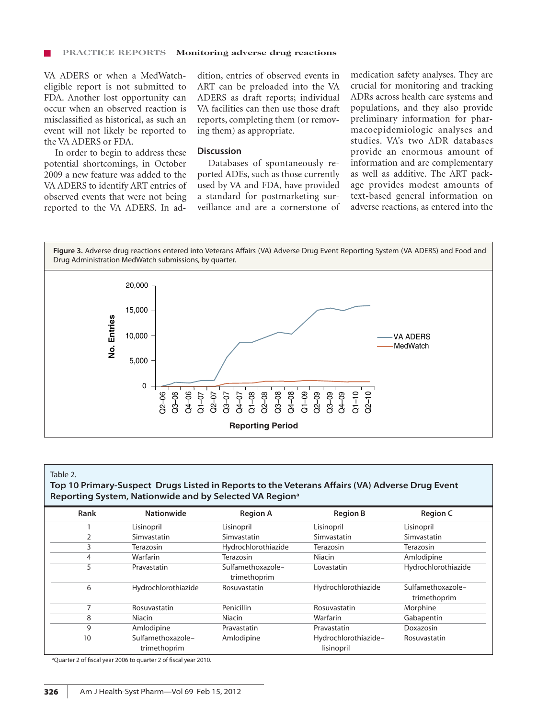#### **Practice Reports Monitoring adverse drug reactions**

VA ADERS or when a MedWatcheligible report is not submitted to FDA. Another lost opportunity can occur when an observed reaction is misclassified as historical, as such an event will not likely be reported to the VA ADERS or FDA.

In order to begin to address these potential shortcomings, in October 2009 a new feature was added to the VA ADERS to identify ART entries of observed events that were not being reported to the VA ADERS. In addition, entries of observed events in ART can be preloaded into the VA ADERS as draft reports; individual VA facilities can then use those draft reports, completing them (or removing them) as appropriate.

## **Discussion**

Databases of spontaneously reported ADEs, such as those currently used by VA and FDA, have provided a standard for postmarketing surveillance and are a cornerstone of medication safety analyses. They are crucial for monitoring and tracking ADRs across health care systems and populations, and they also provide preliminary information for pharmacoepidemiologic analyses and studies. VA's two ADR databases provide an enormous amount of information and are complementary as well as additive. The ART package provides modest amounts of text-based general information on adverse reactions, as entered into the

**Figure 3.** Adverse drug reactions entered into Veterans Affairs (VA) Adverse Drug Event Reporting System (VA ADERS) and Food and Drug Administration MedWatch submissions, by quarter.



#### Table 2.

# **Top 10 Primary-Suspect Drugs Listed in Reports to the Veterans Affairs (VA) Adverse Drug Event Reporting System, Nationwide and by Selected VA Regiona**

| Rank | <b>Nationwide</b>                 | <b>Region A</b>                   | <b>Region B</b>                    | <b>Region C</b>                   |
|------|-----------------------------------|-----------------------------------|------------------------------------|-----------------------------------|
|      | Lisinopril                        | Lisinopril                        | Lisinopril                         | Lisinopril                        |
| 2    | Simvastatin                       | Simvastatin                       | Simvastatin                        | Simvastatin                       |
| 3    | Terazosin                         | Hydrochlorothiazide               | Terazosin                          | Terazosin                         |
| 4    | Warfarin                          | Terazosin                         | Niacin                             | Amlodipine                        |
| 5    | Pravastatin                       | Sulfamethoxazole-<br>trimethoprim | Lovastatin                         | Hydrochlorothiazide               |
| 6    | Hydrochlorothiazide               | Rosuvastatin                      | Hydrochlorothiazide                | Sulfamethoxazole-<br>trimethoprim |
| 7    | Rosuvastatin                      | Penicillin                        | Rosuvastatin                       | Morphine                          |
| 8    | Niacin                            | Niacin                            | Warfarin                           | Gabapentin                        |
| 9    | Amlodipine                        | Pravastatin                       | Pravastatin                        | Doxazosin                         |
| 10   | Sulfamethoxazole-<br>trimethoprim | Amlodipine                        | Hydrochlorothiazide-<br>lisinopril | Rosuvastatin                      |

a Quarter 2 of fiscal year 2006 to quarter 2 of fiscal year 2010.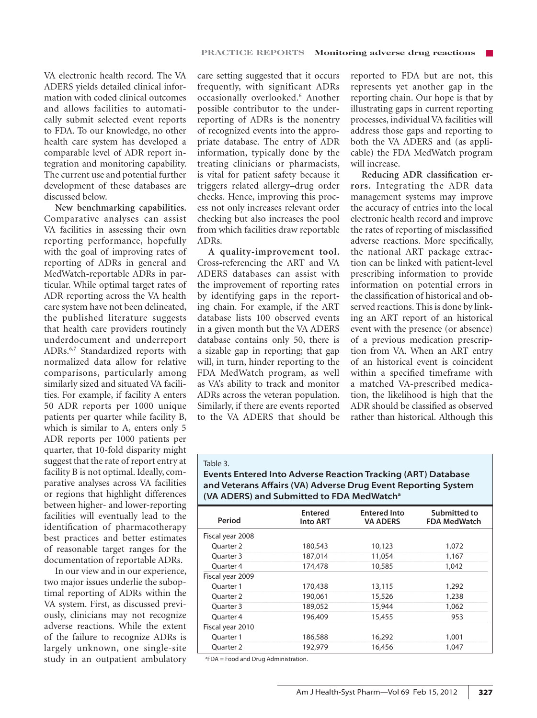VA electronic health record. The VA ADERS yields detailed clinical information with coded clinical outcomes and allows facilities to automatically submit selected event reports to FDA. To our knowledge, no other health care system has developed a comparable level of ADR report integration and monitoring capability. The current use and potential further development of these databases are discussed below.

**New benchmarking capabilities.**  Comparative analyses can assist VA facilities in assessing their own reporting performance, hopefully with the goal of improving rates of reporting of ADRs in general and MedWatch-reportable ADRs in particular. While optimal target rates of ADR reporting across the VA health care system have not been delineated, the published literature suggests that health care providers routinely underdocument and underreport ADRs.6,7 Standardized reports with normalized data allow for relative comparisons, particularly among similarly sized and situated VA facilities. For example, if facility A enters 50 ADR reports per 1000 unique patients per quarter while facility B, which is similar to A, enters only 5 ADR reports per 1000 patients per quarter, that 10-fold disparity might suggest that the rate of report entry at facility B is not optimal. Ideally, comparative analyses across VA facilities or regions that highlight differences between higher- and lower-reporting facilities will eventually lead to the identification of pharmacotherapy best practices and better estimates of reasonable target ranges for the documentation of reportable ADRs.

In our view and in our experience, two major issues underlie the suboptimal reporting of ADRs within the VA system. First, as discussed previously, clinicians may not recognize adverse reactions. While the extent of the failure to recognize ADRs is largely unknown, one single-site study in an outpatient ambulatory care setting suggested that it occurs frequently, with significant ADRs occasionally overlooked.<sup>6</sup> Another possible contributor to the underreporting of ADRs is the nonentry of recognized events into the appropriate database. The entry of ADR information, typically done by the treating clinicians or pharmacists, is vital for patient safety because it triggers related allergy–drug order checks. Hence, improving this process not only increases relevant order checking but also increases the pool from which facilities draw reportable ADRs.

**A quality-improvement tool.** Cross-referencing the ART and VA ADERS databases can assist with the improvement of reporting rates by identifying gaps in the reporting chain. For example, if the ART database lists 100 observed events in a given month but the VA ADERS database contains only 50, there is a sizable gap in reporting; that gap will, in turn, hinder reporting to the FDA MedWatch program, as well as VA's ability to track and monitor ADRs across the veteran population. Similarly, if there are events reported to the VA ADERS that should be

reported to FDA but are not, this represents yet another gap in the reporting chain. Our hope is that by illustrating gaps in current reporting processes, individual VA facilities will address those gaps and reporting to both the VA ADERS and (as applicable) the FDA MedWatch program will increase.

**Reducing ADR classification errors.** Integrating the ADR data management systems may improve the accuracy of entries into the local electronic health record and improve the rates of reporting of misclassified adverse reactions. More specifically, the national ART package extraction can be linked with patient-level prescribing information to provide information on potential errors in the classification of historical and observed reactions. This is done by linking an ART report of an historical event with the presence (or absence) of a previous medication prescription from VA. When an ART entry of an historical event is coincident within a specified timeframe with a matched VA-prescribed medication, the likelihood is high that the ADR should be classified as observed rather than historical. Although this

#### Table 3.

**Events Entered Into Adverse Reaction Tracking (ART) Database and Veterans Affairs (VA) Adverse Drug Event Reporting System (VA ADERS) and Submitted to FDA MedWatcha**

| Period               | <b>Entered</b><br><b>Into ART</b> | <b>Entered Into</b><br><b>VA ADERS</b> | Submitted to<br><b>FDA MedWatch</b> |
|----------------------|-----------------------------------|----------------------------------------|-------------------------------------|
| Fiscal year 2008     |                                   |                                        |                                     |
| <b>Ouarter 2</b>     | 180,543                           | 10,123                                 | 1,072                               |
| Ouarter 3            | 187,014                           | 11,054                                 | 1,167                               |
| Ouarter <sub>4</sub> | 174,478                           | 10,585                                 | 1,042                               |
| Fiscal year 2009     |                                   |                                        |                                     |
| Ouarter 1            | 170,438                           | 13,115                                 | 1,292                               |
| <b>Ouarter 2</b>     | 190,061                           | 15,526                                 | 1,238                               |
| Ouarter 3            | 189,052                           | 15,944                                 | 1,062                               |
| Ouarter 4            | 196,409                           | 15,455                                 | 953                                 |
| Fiscal year 2010     |                                   |                                        |                                     |
| Ouarter 1            | 186,588                           | 16,292                                 | 1,001                               |
| <b>Ouarter 2</b>     | 192,979                           | 16,456                                 | 1,047                               |
|                      |                                   |                                        |                                     |

a FDA = Food and Drug Administration.